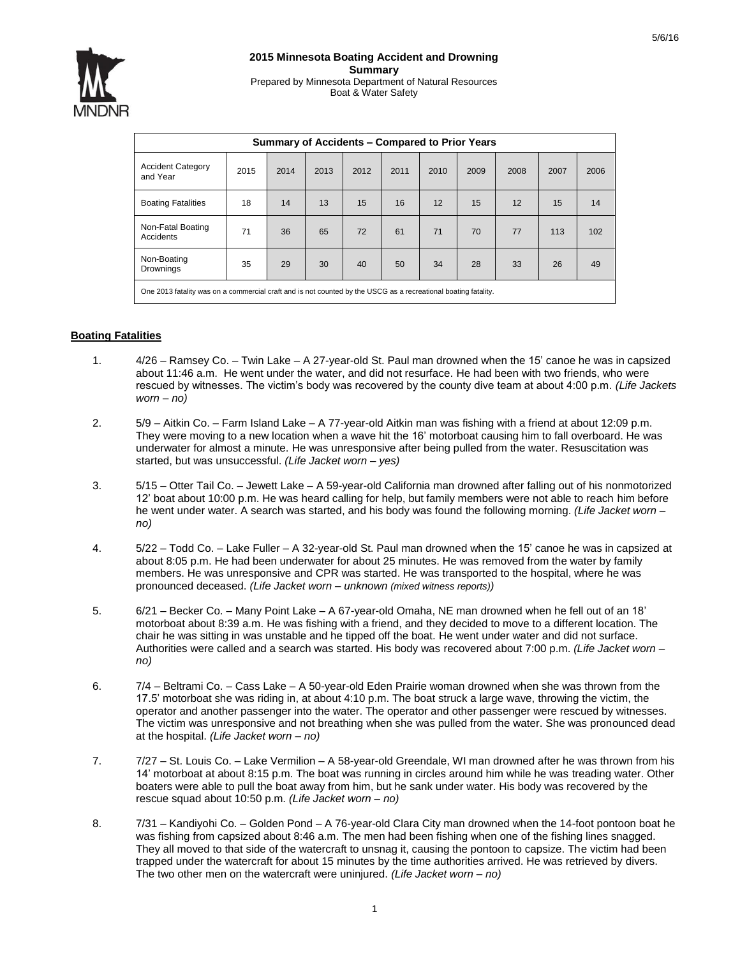

| Summary of Accidents - Compared to Prior Years                                                                 |      |      |      |      |      |      |      |      |      |      |
|----------------------------------------------------------------------------------------------------------------|------|------|------|------|------|------|------|------|------|------|
| <b>Accident Category</b><br>and Year                                                                           | 2015 | 2014 | 2013 | 2012 | 2011 | 2010 | 2009 | 2008 | 2007 | 2006 |
| <b>Boating Fatalities</b>                                                                                      | 18   | 14   | 13   | 15   | 16   | 12   | 15   | 12   | 15   | 14   |
| Non-Fatal Boating<br>Accidents                                                                                 | 71   | 36   | 65   | 72   | 61   | 71   | 70   | 77   | 113  | 102  |
| Non-Boating<br>Drownings                                                                                       | 35   | 29   | 30   | 40   | 50   | 34   | 28   | 33   | 26   | 49   |
| One 2013 fatality was on a commercial craft and is not counted by the USCG as a recreational boating fatality. |      |      |      |      |      |      |      |      |      |      |

## **Boating Fatalities**

- 1. 4/26 Ramsey Co. Twin Lake A 27-year-old St. Paul man drowned when the 15' canoe he was in capsized about 11:46 a.m. He went under the water, and did not resurface. He had been with two friends, who were rescued by witnesses. The victim's body was recovered by the county dive team at about 4:00 p.m. *(Life Jackets worn – no)*
- 2. 5/9 Aitkin Co. Farm Island Lake A 77-year-old Aitkin man was fishing with a friend at about 12:09 p.m. They were moving to a new location when a wave hit the 16' motorboat causing him to fall overboard. He was underwater for almost a minute. He was unresponsive after being pulled from the water. Resuscitation was started, but was unsuccessful. *(Life Jacket worn – yes)*
- 3. 5/15 Otter Tail Co. Jewett Lake A 59-year-old California man drowned after falling out of his nonmotorized 12' boat about 10:00 p.m. He was heard calling for help, but family members were not able to reach him before he went under water. A search was started, and his body was found the following morning. *(Life Jacket worn – no)*
- 4. 5/22 Todd Co. Lake Fuller A 32-year-old St. Paul man drowned when the 15' canoe he was in capsized at about 8:05 p.m. He had been underwater for about 25 minutes. He was removed from the water by family members. He was unresponsive and CPR was started. He was transported to the hospital, where he was pronounced deceased. *(Life Jacket worn – unknown (mixed witness reports))*
- 5. 6/21 Becker Co. Many Point Lake A 67-year-old Omaha, NE man drowned when he fell out of an 18' motorboat about 8:39 a.m. He was fishing with a friend, and they decided to move to a different location. The chair he was sitting in was unstable and he tipped off the boat. He went under water and did not surface. Authorities were called and a search was started. His body was recovered about 7:00 p.m. *(Life Jacket worn – no)*
- 6. 7/4 Beltrami Co. Cass Lake A 50-year-old Eden Prairie woman drowned when she was thrown from the 17.5' motorboat she was riding in, at about 4:10 p.m. The boat struck a large wave, throwing the victim, the operator and another passenger into the water. The operator and other passenger were rescued by witnesses. The victim was unresponsive and not breathing when she was pulled from the water. She was pronounced dead at the hospital. *(Life Jacket worn – no)*
- 7. 7/27 St. Louis Co. Lake Vermilion A 58-year-old Greendale, WI man drowned after he was thrown from his 14' motorboat at about 8:15 p.m. The boat was running in circles around him while he was treading water. Other boaters were able to pull the boat away from him, but he sank under water. His body was recovered by the rescue squad about 10:50 p.m. *(Life Jacket worn – no)*
- 8. 7/31 Kandiyohi Co. Golden Pond A 76-year-old Clara City man drowned when the 14-foot pontoon boat he was fishing from capsized about 8:46 a.m. The men had been fishing when one of the fishing lines snagged. They all moved to that side of the watercraft to unsnag it, causing the pontoon to capsize. The victim had been trapped under the watercraft for about 15 minutes by the time authorities arrived. He was retrieved by divers. The two other men on the watercraft were uninjured. *(Life Jacket worn – no)*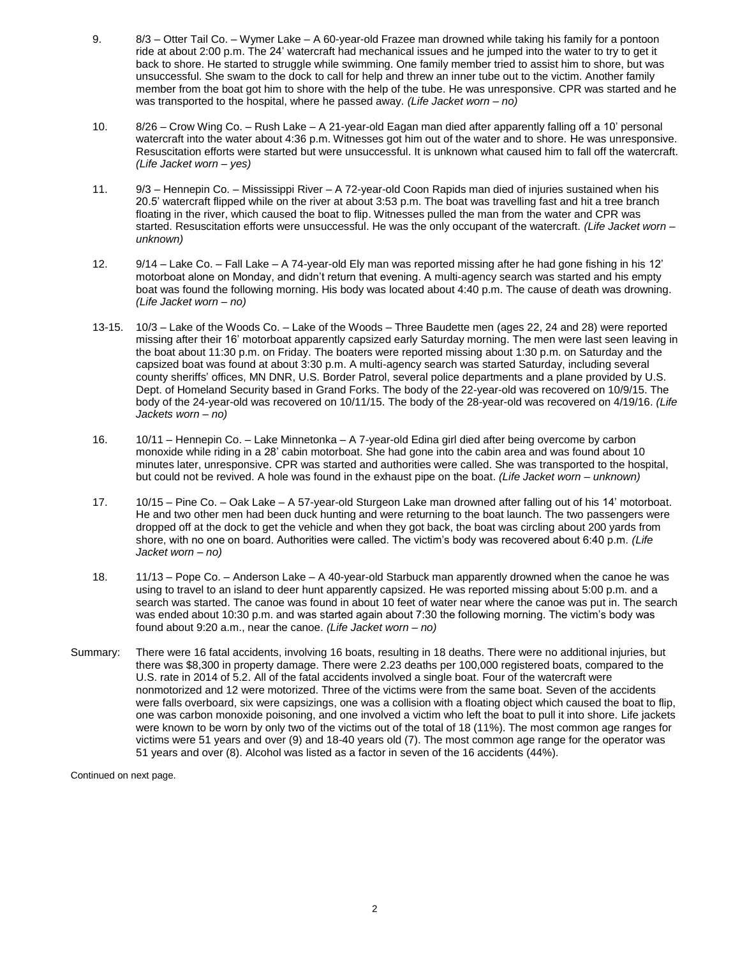- 9. 8/3 Otter Tail Co. Wymer Lake A 60-year-old Frazee man drowned while taking his family for a pontoon ride at about 2:00 p.m. The 24' watercraft had mechanical issues and he jumped into the water to try to get it back to shore. He started to struggle while swimming. One family member tried to assist him to shore, but was unsuccessful. She swam to the dock to call for help and threw an inner tube out to the victim. Another family member from the boat got him to shore with the help of the tube. He was unresponsive. CPR was started and he was transported to the hospital, where he passed away. *(Life Jacket worn – no)*
- 10. 8/26 Crow Wing Co. Rush Lake A 21-year-old Eagan man died after apparently falling off a 10' personal watercraft into the water about 4:36 p.m. Witnesses got him out of the water and to shore. He was unresponsive. Resuscitation efforts were started but were unsuccessful. It is unknown what caused him to fall off the watercraft. *(Life Jacket worn – yes)*
- 11. 9/3 Hennepin Co. Mississippi River A 72-year-old Coon Rapids man died of injuries sustained when his 20.5' watercraft flipped while on the river at about 3:53 p.m. The boat was travelling fast and hit a tree branch floating in the river, which caused the boat to flip. Witnesses pulled the man from the water and CPR was started. Resuscitation efforts were unsuccessful. He was the only occupant of the watercraft. *(Life Jacket worn – unknown)*
- 12. 9/14 Lake Co. Fall Lake A 74-year-old Ely man was reported missing after he had gone fishing in his 12' motorboat alone on Monday, and didn't return that evening. A multi-agency search was started and his empty boat was found the following morning. His body was located about 4:40 p.m. The cause of death was drowning. *(Life Jacket worn – no)*
- 13-15. 10/3 Lake of the Woods Co. Lake of the Woods Three Baudette men (ages 22, 24 and 28) were reported missing after their 16' motorboat apparently capsized early Saturday morning. The men were last seen leaving in the boat about 11:30 p.m. on Friday. The boaters were reported missing about 1:30 p.m. on Saturday and the capsized boat was found at about 3:30 p.m. A multi-agency search was started Saturday, including several county sheriffs' offices, MN DNR, U.S. Border Patrol, several police departments and a plane provided by U.S. Dept. of Homeland Security based in Grand Forks. The body of the 22-year-old was recovered on 10/9/15. The body of the 24-year-old was recovered on 10/11/15. The body of the 28-year-old was recovered on 4/19/16. *(Life Jackets worn – no)*
- 16. 10/11 Hennepin Co. Lake Minnetonka A 7-year-old Edina girl died after being overcome by carbon monoxide while riding in a 28' cabin motorboat. She had gone into the cabin area and was found about 10 minutes later, unresponsive. CPR was started and authorities were called. She was transported to the hospital, but could not be revived. A hole was found in the exhaust pipe on the boat. *(Life Jacket worn – unknown)*
- 17. 10/15 Pine Co. Oak Lake A 57-year-old Sturgeon Lake man drowned after falling out of his 14' motorboat. He and two other men had been duck hunting and were returning to the boat launch. The two passengers were dropped off at the dock to get the vehicle and when they got back, the boat was circling about 200 yards from shore, with no one on board. Authorities were called. The victim's body was recovered about 6:40 p.m. *(Life Jacket worn – no)*
- 18. 11/13 Pope Co. Anderson Lake A 40-year-old Starbuck man apparently drowned when the canoe he was using to travel to an island to deer hunt apparently capsized. He was reported missing about 5:00 p.m. and a search was started. The canoe was found in about 10 feet of water near where the canoe was put in. The search was ended about 10:30 p.m. and was started again about 7:30 the following morning. The victim's body was found about 9:20 a.m., near the canoe. *(Life Jacket worn – no)*
- Summary: There were 16 fatal accidents, involving 16 boats, resulting in 18 deaths. There were no additional injuries, but there was \$8,300 in property damage. There were 2.23 deaths per 100,000 registered boats, compared to the U.S. rate in 2014 of 5.2. All of the fatal accidents involved a single boat. Four of the watercraft were nonmotorized and 12 were motorized. Three of the victims were from the same boat. Seven of the accidents were falls overboard, six were capsizings, one was a collision with a floating object which caused the boat to flip, one was carbon monoxide poisoning, and one involved a victim who left the boat to pull it into shore. Life jackets were known to be worn by only two of the victims out of the total of 18 (11%). The most common age ranges for victims were 51 years and over (9) and 18-40 years old (7). The most common age range for the operator was 51 years and over (8). Alcohol was listed as a factor in seven of the 16 accidents (44%).

Continued on next page.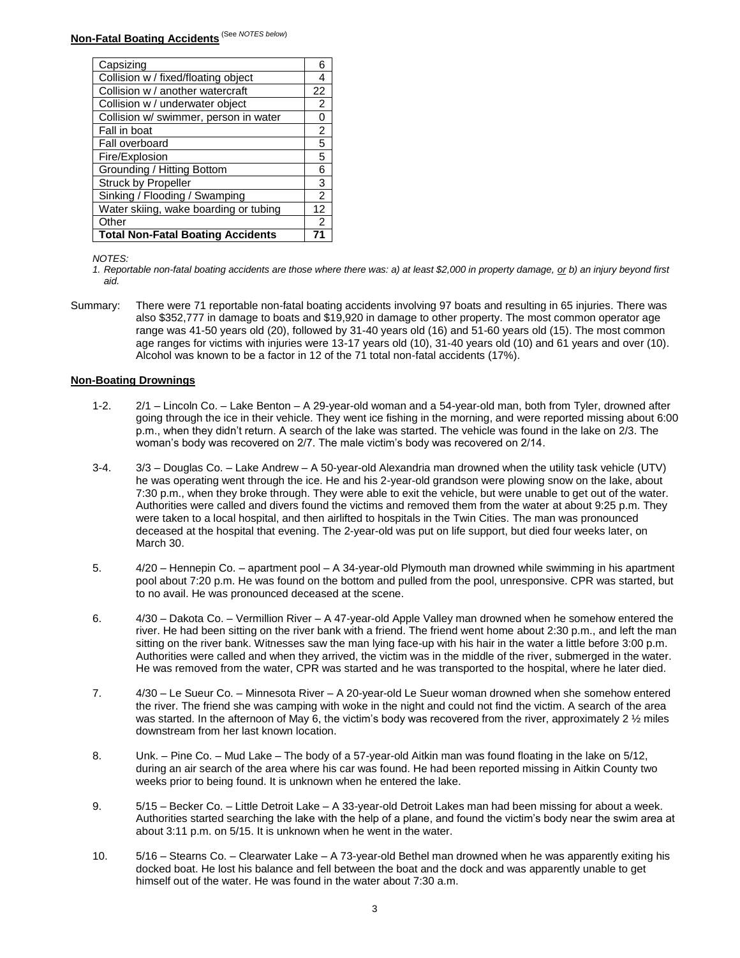| Capsizing                                |               |  |  |  |
|------------------------------------------|---------------|--|--|--|
| Collision w / fixed/floating object      |               |  |  |  |
| Collision w / another watercraft         | 22            |  |  |  |
| Collision w / underwater object          | $\mathcal{P}$ |  |  |  |
| Collision w/ swimmer, person in water    |               |  |  |  |
| Fall in boat                             | 2             |  |  |  |
| Fall overboard                           |               |  |  |  |
| Fire/Explosion                           |               |  |  |  |
| Grounding / Hitting Bottom               |               |  |  |  |
| <b>Struck by Propeller</b>               |               |  |  |  |
| Sinking / Flooding / Swamping            |               |  |  |  |
| Water skiing, wake boarding or tubing    | 12            |  |  |  |
| Other                                    | 2             |  |  |  |
| <b>Total Non-Fatal Boating Accidents</b> |               |  |  |  |

*NOTES:*

*1. Reportable non-fatal boating accidents are those where there was: a) at least \$2,000 in property damage, or b) an injury beyond first aid.*

Summary: There were 71 reportable non-fatal boating accidents involving 97 boats and resulting in 65 injuries. There was also \$352,777 in damage to boats and \$19,920 in damage to other property. The most common operator age range was 41-50 years old (20), followed by 31-40 years old (16) and 51-60 years old (15). The most common age ranges for victims with injuries were 13-17 years old (10), 31-40 years old (10) and 61 years and over (10). Alcohol was known to be a factor in 12 of the 71 total non-fatal accidents (17%).

## **Non-Boating Drownings**

- 1-2. 2/1 Lincoln Co. Lake Benton A 29-year-old woman and a 54-year-old man, both from Tyler, drowned after going through the ice in their vehicle. They went ice fishing in the morning, and were reported missing about 6:00 p.m., when they didn't return. A search of the lake was started. The vehicle was found in the lake on 2/3. The woman's body was recovered on 2/7. The male victim's body was recovered on 2/14.
- 3-4. 3/3 Douglas Co. Lake Andrew A 50-year-old Alexandria man drowned when the utility task vehicle (UTV) he was operating went through the ice. He and his 2-year-old grandson were plowing snow on the lake, about 7:30 p.m., when they broke through. They were able to exit the vehicle, but were unable to get out of the water. Authorities were called and divers found the victims and removed them from the water at about 9:25 p.m. They were taken to a local hospital, and then airlifted to hospitals in the Twin Cities. The man was pronounced deceased at the hospital that evening. The 2-year-old was put on life support, but died four weeks later, on March 30.
- 5. 4/20 Hennepin Co. apartment pool A 34-year-old Plymouth man drowned while swimming in his apartment pool about 7:20 p.m. He was found on the bottom and pulled from the pool, unresponsive. CPR was started, but to no avail. He was pronounced deceased at the scene.
- 6. 4/30 Dakota Co. Vermillion River A 47-year-old Apple Valley man drowned when he somehow entered the river. He had been sitting on the river bank with a friend. The friend went home about 2:30 p.m., and left the man sitting on the river bank. Witnesses saw the man lying face-up with his hair in the water a little before 3:00 p.m. Authorities were called and when they arrived, the victim was in the middle of the river, submerged in the water. He was removed from the water, CPR was started and he was transported to the hospital, where he later died.
- 7. 4/30 Le Sueur Co. Minnesota River A 20-year-old Le Sueur woman drowned when she somehow entered the river. The friend she was camping with woke in the night and could not find the victim. A search of the area was started. In the afternoon of May 6, the victim's body was recovered from the river, approximately 2  $\frac{1}{2}$  miles downstream from her last known location.
- 8. Unk. Pine Co. Mud Lake The body of a 57-year-old Aitkin man was found floating in the lake on 5/12, during an air search of the area where his car was found. He had been reported missing in Aitkin County two weeks prior to being found. It is unknown when he entered the lake.
- 9. 5/15 Becker Co. Little Detroit Lake A 33-year-old Detroit Lakes man had been missing for about a week. Authorities started searching the lake with the help of a plane, and found the victim's body near the swim area at about 3:11 p.m. on 5/15. It is unknown when he went in the water.
- 10. 5/16 Stearns Co. Clearwater Lake A 73-year-old Bethel man drowned when he was apparently exiting his docked boat. He lost his balance and fell between the boat and the dock and was apparently unable to get himself out of the water. He was found in the water about 7:30 a.m.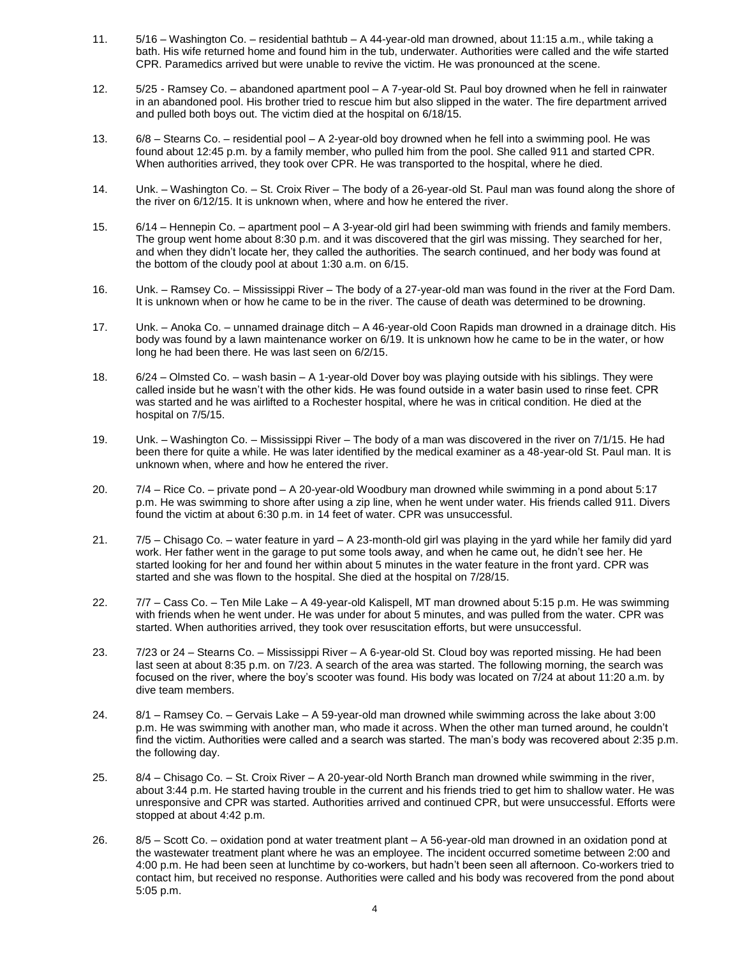- 11. 5/16 Washington Co. residential bathtub A 44-year-old man drowned, about 11:15 a.m., while taking a bath. His wife returned home and found him in the tub, underwater. Authorities were called and the wife started CPR. Paramedics arrived but were unable to revive the victim. He was pronounced at the scene.
- 12. 5/25 Ramsey Co. abandoned apartment pool A 7-year-old St. Paul boy drowned when he fell in rainwater in an abandoned pool. His brother tried to rescue him but also slipped in the water. The fire department arrived and pulled both boys out. The victim died at the hospital on 6/18/15.
- 13. 6/8 Stearns Co. residential pool A 2-year-old boy drowned when he fell into a swimming pool. He was found about 12:45 p.m. by a family member, who pulled him from the pool. She called 911 and started CPR. When authorities arrived, they took over CPR. He was transported to the hospital, where he died.
- 14. Unk. Washington Co. St. Croix River The body of a 26-year-old St. Paul man was found along the shore of the river on 6/12/15. It is unknown when, where and how he entered the river.
- 15. 6/14 Hennepin Co. apartment pool A 3-year-old girl had been swimming with friends and family members. The group went home about 8:30 p.m. and it was discovered that the girl was missing. They searched for her, and when they didn't locate her, they called the authorities. The search continued, and her body was found at the bottom of the cloudy pool at about 1:30 a.m. on 6/15.
- 16. Unk. Ramsey Co. Mississippi River The body of a 27-year-old man was found in the river at the Ford Dam. It is unknown when or how he came to be in the river. The cause of death was determined to be drowning.
- 17. Unk. Anoka Co. unnamed drainage ditch A 46-year-old Coon Rapids man drowned in a drainage ditch. His body was found by a lawn maintenance worker on 6/19. It is unknown how he came to be in the water, or how long he had been there. He was last seen on 6/2/15.
- 18. 6/24 Olmsted Co. wash basin A 1-year-old Dover boy was playing outside with his siblings. They were called inside but he wasn't with the other kids. He was found outside in a water basin used to rinse feet. CPR was started and he was airlifted to a Rochester hospital, where he was in critical condition. He died at the hospital on 7/5/15.
- 19. Unk. Washington Co. Mississippi River The body of a man was discovered in the river on 7/1/15. He had been there for quite a while. He was later identified by the medical examiner as a 48-year-old St. Paul man. It is unknown when, where and how he entered the river.
- 20. 7/4 Rice Co. private pond A 20-year-old Woodbury man drowned while swimming in a pond about 5:17 p.m. He was swimming to shore after using a zip line, when he went under water. His friends called 911. Divers found the victim at about 6:30 p.m. in 14 feet of water. CPR was unsuccessful.
- 21. 7/5 Chisago Co. water feature in yard A 23-month-old girl was playing in the yard while her family did yard work. Her father went in the garage to put some tools away, and when he came out, he didn't see her. He started looking for her and found her within about 5 minutes in the water feature in the front yard. CPR was started and she was flown to the hospital. She died at the hospital on 7/28/15.
- 22. 7/7 Cass Co. Ten Mile Lake A 49-year-old Kalispell, MT man drowned about 5:15 p.m. He was swimming with friends when he went under. He was under for about 5 minutes, and was pulled from the water. CPR was started. When authorities arrived, they took over resuscitation efforts, but were unsuccessful.
- 23. 7/23 or 24 Stearns Co. Mississippi River A 6-year-old St. Cloud boy was reported missing. He had been last seen at about 8:35 p.m. on 7/23. A search of the area was started. The following morning, the search was focused on the river, where the boy's scooter was found. His body was located on 7/24 at about 11:20 a.m. by dive team members.
- 24. 8/1 Ramsey Co. Gervais Lake A 59-year-old man drowned while swimming across the lake about 3:00 p.m. He was swimming with another man, who made it across. When the other man turned around, he couldn't find the victim. Authorities were called and a search was started. The man's body was recovered about 2:35 p.m. the following day.
- 25. 8/4 Chisago Co. St. Croix River A 20-year-old North Branch man drowned while swimming in the river, about 3:44 p.m. He started having trouble in the current and his friends tried to get him to shallow water. He was unresponsive and CPR was started. Authorities arrived and continued CPR, but were unsuccessful. Efforts were stopped at about 4:42 p.m.
- 26. 8/5 Scott Co. oxidation pond at water treatment plant A 56-year-old man drowned in an oxidation pond at the wastewater treatment plant where he was an employee. The incident occurred sometime between 2:00 and 4:00 p.m. He had been seen at lunchtime by co-workers, but hadn't been seen all afternoon. Co-workers tried to contact him, but received no response. Authorities were called and his body was recovered from the pond about 5:05 p.m.